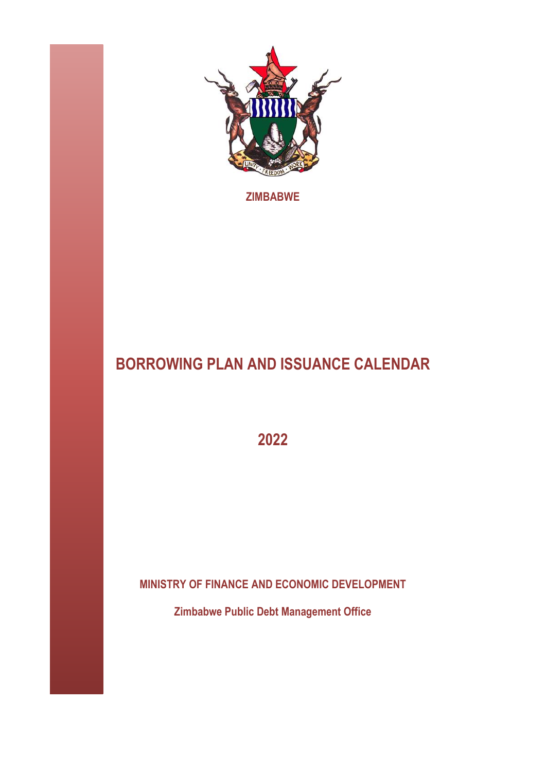

**ZIMBABWE** 

# **BORROWING PLAN AND ISSUANCE CALENDAR**

**2022**

**MINISTRY OF FINANCE AND ECONOMIC DEVELOPMENT**

**Zimbabwe Public Debt Management Office**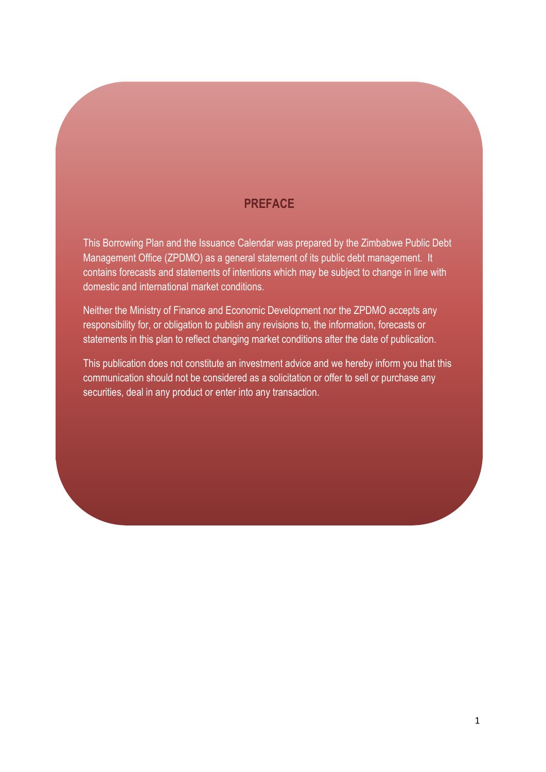#### **PREFACE**

This Borrowing Plan and the Issuance Calendar was prepared by the Zimbabwe Public Debt Management Office (ZPDMO) as a general statement of its public debt management. It contains forecasts and statements of intentions which may be subject to change in line with domestic and international market conditions.

Neither the Ministry of Finance and Economic Development nor the ZPDMO accepts any responsibility for, or obligation to publish any revisions to, the information, forecasts or statements in this plan to reflect changing market conditions after the date of publication.

This publication does not constitute an investment advice and we hereby inform you that this communication should not be considered as a solicitation or offer to sell or purchase any securities, deal in any product or enter into any transaction.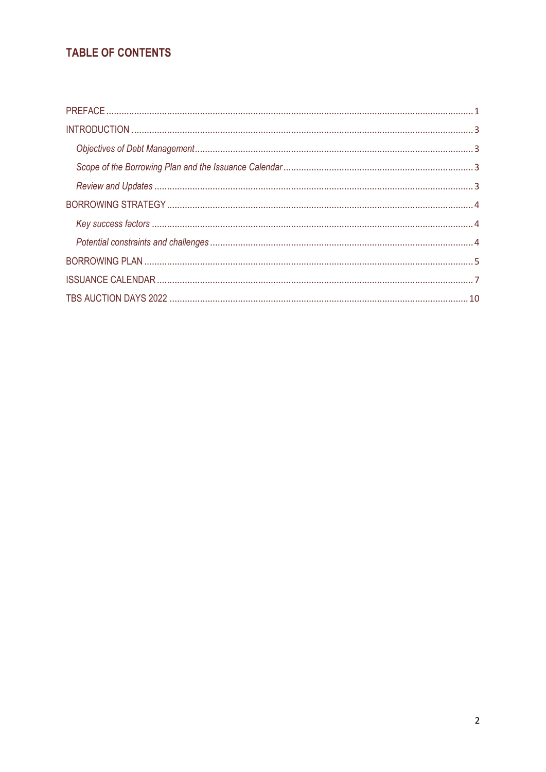# TABLE OF CONTENTS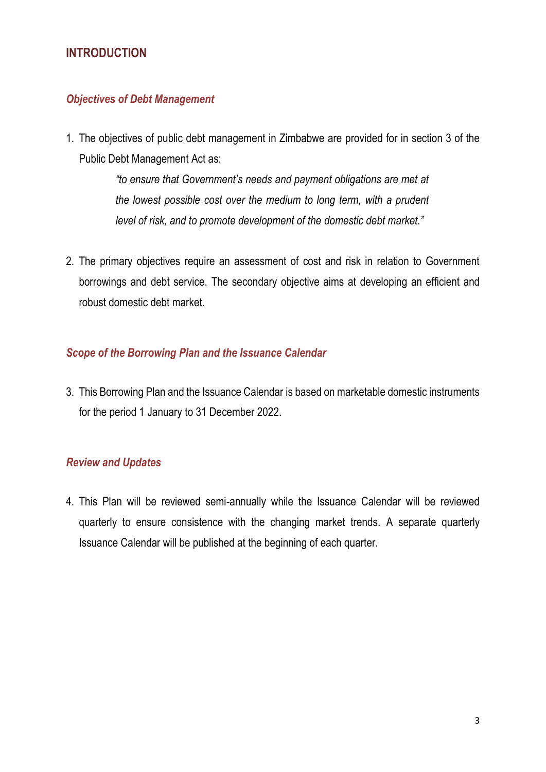## <span id="page-3-0"></span>**INTRODUCTION**

#### <span id="page-3-1"></span>*Objectives of Debt Management*

1. The objectives of public debt management in Zimbabwe are provided for in section 3 of the Public Debt Management Act as:

> *"to ensure that Government's needs and payment obligations are met at the lowest possible cost over the medium to long term, with a prudent level of risk, and to promote development of the domestic debt market."*

2. The primary objectives require an assessment of cost and risk in relation to Government borrowings and debt service. The secondary objective aims at developing an efficient and robust domestic debt market.

#### <span id="page-3-2"></span>*Scope of the Borrowing Plan and the Issuance Calendar*

3. This Borrowing Plan and the Issuance Calendar is based on marketable domestic instruments for the period 1 January to 31 December 2022.

#### <span id="page-3-3"></span>*Review and Updates*

4. This Plan will be reviewed semi-annually while the Issuance Calendar will be reviewed quarterly to ensure consistence with the changing market trends. A separate quarterly Issuance Calendar will be published at the beginning of each quarter.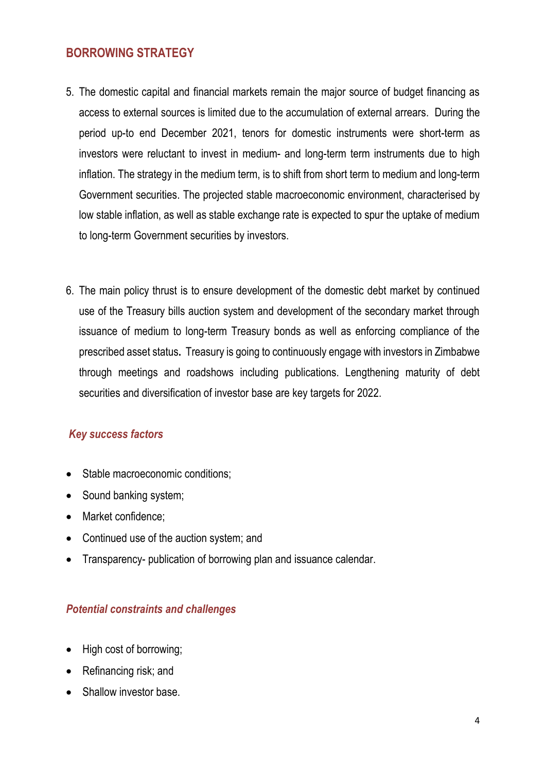### <span id="page-4-0"></span>**BORROWING STRATEGY**

- 5. The domestic capital and financial markets remain the major source of budget financing as access to external sources is limited due to the accumulation of external arrears. During the period up-to end December 2021, tenors for domestic instruments were short-term as investors were reluctant to invest in medium- and long-term term instruments due to high inflation. The strategy in the medium term, is to shift from short term to medium and long-term Government securities. The projected stable macroeconomic environment, characterised by low stable inflation, as well as stable exchange rate is expected to spur the uptake of medium to long-term Government securities by investors.
- 6. The main policy thrust is to ensure development of the domestic debt market by continued use of the Treasury bills auction system and development of the secondary market through issuance of medium to long-term Treasury bonds as well as enforcing compliance of the prescribed asset status**.** Treasury is going to continuously engage with investors in Zimbabwe through meetings and roadshows including publications. Lengthening maturity of debt securities and diversification of investor base are key targets for 2022.

#### <span id="page-4-1"></span>*Key success factors*

- Stable macroeconomic conditions;
- Sound banking system;
- Market confidence:
- Continued use of the auction system; and
- Transparency- publication of borrowing plan and issuance calendar.

#### <span id="page-4-2"></span>*Potential constraints and challenges*

- High cost of borrowing;
- Refinancing risk; and
- Shallow investor base.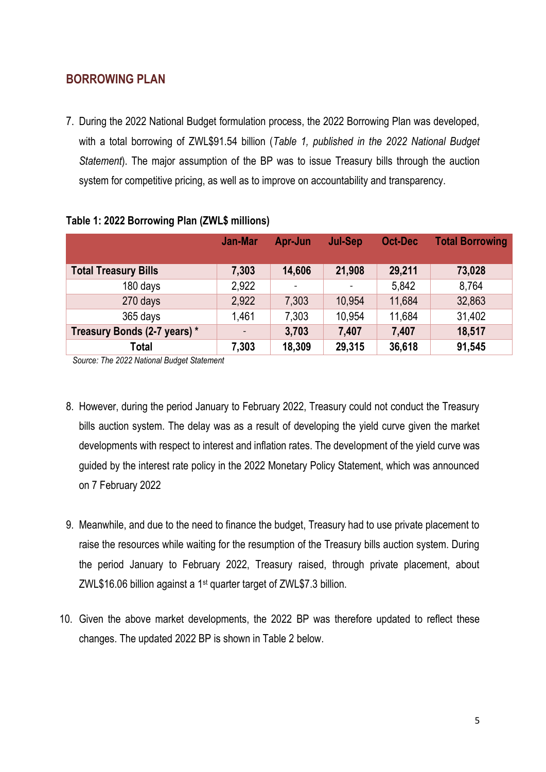### <span id="page-5-0"></span>**BORROWING PLAN**

7. During the 2022 National Budget formulation process, the 2022 Borrowing Plan was developed, with a total borrowing of ZWL\$91.54 billion (*Table 1, published in the 2022 National Budget Statement*). The major assumption of the BP was to issue Treasury bills through the auction system for competitive pricing, as well as to improve on accountability and transparency.

|                              | <b>Jan-Mar</b> | Apr-Jun                  | <b>Jul-Sep</b> | <b>Oct-Dec</b> | <b>Total Borrowing</b> |
|------------------------------|----------------|--------------------------|----------------|----------------|------------------------|
| <b>Total Treasury Bills</b>  | 7,303          | 14,606                   | 21,908         | 29,211         | 73,028                 |
| 180 days                     | 2,922          | $\overline{\phantom{a}}$ |                | 5,842          | 8,764                  |
| 270 days                     | 2,922          | 7,303                    | 10,954         | 11,684         | 32,863                 |
| 365 days                     | 1,461          | 7,303                    | 10,954         | 11,684         | 31,402                 |
| Treasury Bonds (2-7 years) * |                | 3,703                    | 7,407          | 7,407          | 18,517                 |
| <b>Total</b>                 | 7,303          | 18,309                   | 29,315         | 36,618         | 91,545                 |

#### **Table 1: 2022 Borrowing Plan (ZWL\$ millions)**

*Source: The 2022 National Budget Statement*

- 8. However, during the period January to February 2022, Treasury could not conduct the Treasury bills auction system. The delay was as a result of developing the yield curve given the market developments with respect to interest and inflation rates. The development of the yield curve was guided by the interest rate policy in the 2022 Monetary Policy Statement, which was announced on 7 February 2022
- 9. Meanwhile, and due to the need to finance the budget, Treasury had to use private placement to raise the resources while waiting for the resumption of the Treasury bills auction system. During the period January to February 2022, Treasury raised, through private placement, about ZWL\$16.06 billion against a 1st quarter target of ZWL\$7.3 billion.
- 10. Given the above market developments, the 2022 BP was therefore updated to reflect these changes. The updated 2022 BP is shown in Table 2 below.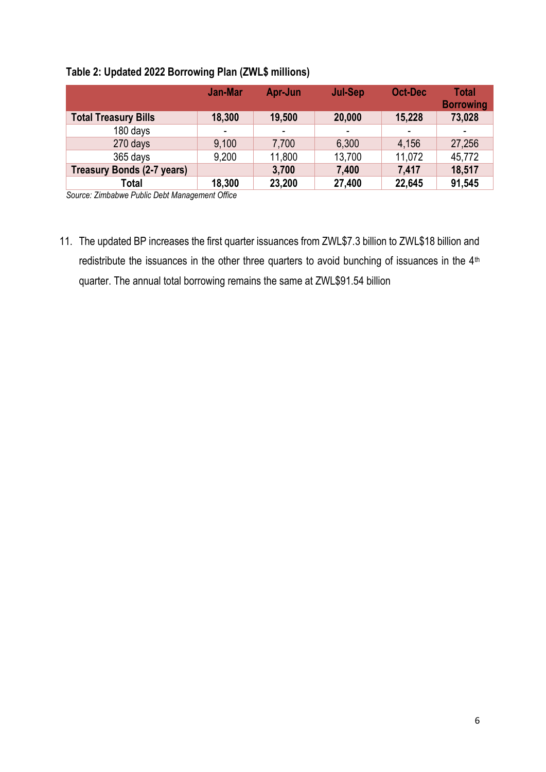#### **Table 2: Updated 2022 Borrowing Plan (ZWL\$ millions)**

|                             | <b>Jan-Mar</b> | Apr-Jun | Jul-Sep | <b>Oct-Dec</b> | Total<br><b>Borrowing</b> |
|-----------------------------|----------------|---------|---------|----------------|---------------------------|
| <b>Total Treasury Bills</b> | 18,300         | 19,500  | 20,000  | 15,228         | 73,028                    |
| 180 days                    |                | ۰.      | ۰       |                |                           |
| 270 days                    | 9,100          | 7,700   | 6,300   | 4,156          | 27,256                    |
| 365 days                    | 9,200          | 11,800  | 13,700  | 11,072         | 45,772                    |
| Treasury Bonds (2-7 years)  |                | 3,700   | 7,400   | 7,417          | 18,517                    |
| Total                       | 18,300         | 23,200  | 27,400  | 22,645         | 91,545                    |

*Source: Zimbabwe Public Debt Management Office*

11. The updated BP increases the first quarter issuances from ZWL\$7.3 billion to ZWL\$18 billion and redistribute the issuances in the other three quarters to avoid bunching of issuances in the 4<sup>th</sup> quarter. The annual total borrowing remains the same at ZWL\$91.54 billion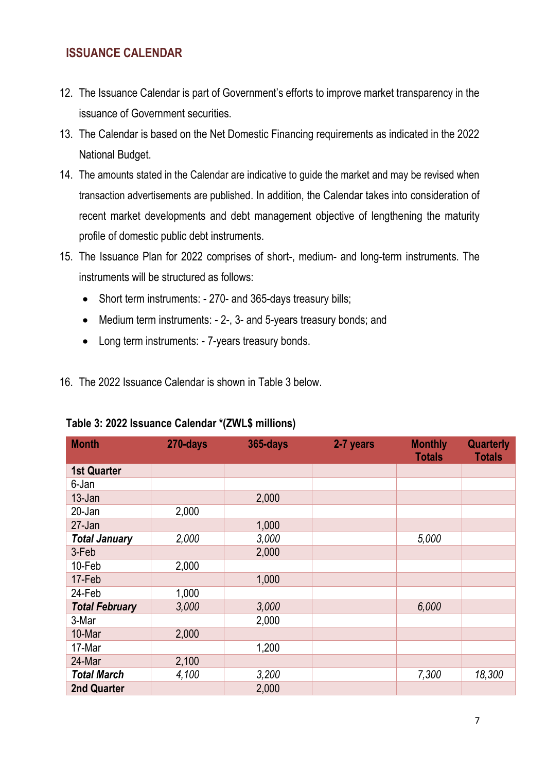## <span id="page-7-0"></span>**ISSUANCE CALENDAR**

- 12. The Issuance Calendar is part of Government's efforts to improve market transparency in the issuance of Government securities.
- 13. The Calendar is based on the Net Domestic Financing requirements as indicated in the 2022 National Budget.
- 14. The amounts stated in the Calendar are indicative to guide the market and may be revised when transaction advertisements are published. In addition, the Calendar takes into consideration of recent market developments and debt management objective of lengthening the maturity profile of domestic public debt instruments.
- 15. The Issuance Plan for 2022 comprises of short-, medium- and long-term instruments. The instruments will be structured as follows:
	- Short term instruments: 270- and 365-days treasury bills;
	- Medium term instruments: 2-, 3- and 5-years treasury bonds; and
	- Long term instruments: 7-years treasury bonds.
- 16. The 2022 Issuance Calendar is shown in Table 3 below.

| <b>Month</b>          | 270-days | <b>365-days</b> | 2-7 years | <b>Monthly</b><br><b>Totals</b> | <b>Quarterly</b><br><b>Totals</b> |
|-----------------------|----------|-----------------|-----------|---------------------------------|-----------------------------------|
| <b>1st Quarter</b>    |          |                 |           |                                 |                                   |
| 6-Jan                 |          |                 |           |                                 |                                   |
| $13 - Jan$            |          | 2,000           |           |                                 |                                   |
| 20-Jan                | 2,000    |                 |           |                                 |                                   |
| 27-Jan                |          | 1,000           |           |                                 |                                   |
| <b>Total January</b>  | 2,000    | 3,000           |           | 5,000                           |                                   |
| 3-Feb                 |          | 2,000           |           |                                 |                                   |
| 10-Feb                | 2,000    |                 |           |                                 |                                   |
| 17-Feb                |          | 1,000           |           |                                 |                                   |
| 24-Feb                | 1,000    |                 |           |                                 |                                   |
| <b>Total February</b> | 3,000    | 3,000           |           | 6,000                           |                                   |
| 3-Mar                 |          | 2,000           |           |                                 |                                   |
| 10-Mar                | 2,000    |                 |           |                                 |                                   |
| 17-Mar                |          | 1,200           |           |                                 |                                   |
| 24-Mar                | 2,100    |                 |           |                                 |                                   |
| <b>Total March</b>    | 4,100    | 3,200           |           | 7,300                           | 18,300                            |
| <b>2nd Quarter</b>    |          | 2,000           |           |                                 |                                   |

#### **Table 3: 2022 Issuance Calendar \*(ZWL\$ millions)**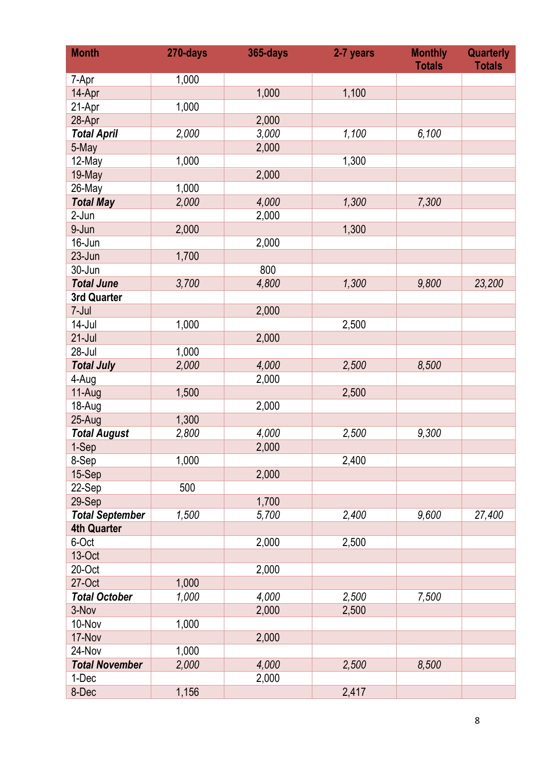| <b>Month</b>           | 270-days | <b>365-days</b> | 2-7 years | <b>Monthly</b><br><b>Totals</b> | <b>Quarterly</b><br><b>Totals</b> |
|------------------------|----------|-----------------|-----------|---------------------------------|-----------------------------------|
| 7-Apr                  | 1,000    |                 |           |                                 |                                   |
| 14-Apr                 |          | 1,000           | 1,100     |                                 |                                   |
| 21-Apr                 | 1,000    |                 |           |                                 |                                   |
| 28-Apr                 |          | 2,000           |           |                                 |                                   |
| <b>Total April</b>     | 2,000    | 3,000           | 1,100     | 6,100                           |                                   |
| 5-May                  |          | 2,000           |           |                                 |                                   |
| 12-May                 | 1,000    |                 | 1,300     |                                 |                                   |
| 19-May                 |          | 2,000           |           |                                 |                                   |
| 26-May                 | 1,000    |                 |           |                                 |                                   |
| <b>Total May</b>       | 2,000    | 4,000           | 1,300     | 7,300                           |                                   |
| 2-Jun                  |          | 2,000           |           |                                 |                                   |
| 9-Jun                  | 2,000    |                 | 1,300     |                                 |                                   |
| 16-Jun                 |          | 2,000           |           |                                 |                                   |
| 23-Jun                 | 1,700    |                 |           |                                 |                                   |
| 30-Jun                 |          | 800             |           |                                 |                                   |
| <b>Total June</b>      | 3,700    | 4,800           | 1,300     | 9,800                           | 23,200                            |
| 3rd Quarter            |          |                 |           |                                 |                                   |
| 7-Jul                  |          | 2,000           |           |                                 |                                   |
| $14$ -Jul              | 1,000    |                 | 2,500     |                                 |                                   |
| $21$ -Jul              |          | 2,000           |           |                                 |                                   |
| 28-Jul                 | 1,000    |                 |           |                                 |                                   |
| <b>Total July</b>      | 2,000    | 4,000           | 2,500     | 8,500                           |                                   |
| 4-Aug                  |          | 2,000           |           |                                 |                                   |
| 11-Aug                 | 1,500    |                 | 2,500     |                                 |                                   |
| 18-Aug                 |          | 2,000           |           |                                 |                                   |
| 25-Aug                 | 1,300    |                 |           |                                 |                                   |
| <b>Total August</b>    | 2,800    | 4,000           | 2,500     | 9,300                           |                                   |
| 1-Sep                  |          | 2,000           |           |                                 |                                   |
| 8-Sep                  | 1,000    |                 | 2,400     |                                 |                                   |
| 15-Sep                 |          | 2,000           |           |                                 |                                   |
| 22-Sep                 | 500      |                 |           |                                 |                                   |
| 29-Sep                 |          | 1,700           |           |                                 |                                   |
| <b>Total September</b> | 1,500    | 5,700           | 2,400     | 9,600                           | 27,400                            |
| <b>4th Quarter</b>     |          |                 |           |                                 |                                   |
| 6-Oct                  |          | 2,000           | 2,500     |                                 |                                   |
| 13-Oct                 |          |                 |           |                                 |                                   |
| 20-Oct                 |          | 2,000           |           |                                 |                                   |
| 27-Oct                 | 1,000    |                 |           |                                 |                                   |
| <b>Total October</b>   | 1,000    | 4,000           | 2,500     | 7,500                           |                                   |
| 3-Nov                  |          | 2,000           | 2,500     |                                 |                                   |
| 10-Nov                 | 1,000    |                 |           |                                 |                                   |
| 17-Nov                 |          | 2,000           |           |                                 |                                   |
| 24-Nov                 | 1,000    |                 |           |                                 |                                   |
| <b>Total November</b>  | 2,000    | 4,000           | 2,500     | 8,500                           |                                   |
| 1-Dec                  |          | 2,000           |           |                                 |                                   |
| 8-Dec                  | 1,156    |                 | 2,417     |                                 |                                   |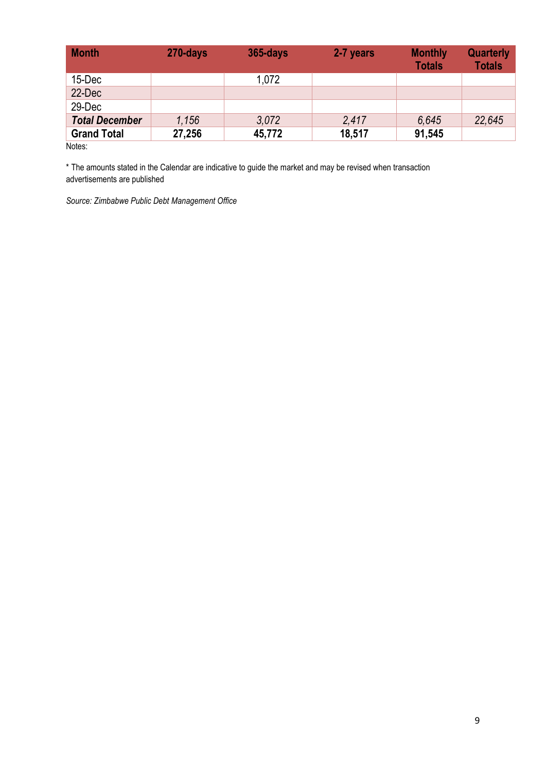| <b>Month</b>          | 270-days | $365$ -days | 2-7 years | <b>Monthly</b><br><b>Totals</b> | <b>Quarterly</b><br><b>Totals</b> |
|-----------------------|----------|-------------|-----------|---------------------------------|-----------------------------------|
| 15-Dec                |          | 1,072       |           |                                 |                                   |
| 22-Dec                |          |             |           |                                 |                                   |
| 29-Dec                |          |             |           |                                 |                                   |
| <b>Total December</b> | 1,156    | 3.072       | 2.417     | 6.645                           | 22,645                            |
| <b>Grand Total</b>    | 27,256   | 45,772      | 18,517    | 91,545                          |                                   |
| Notes:                |          |             |           |                                 |                                   |

\* The amounts stated in the Calendar are indicative to guide the market and may be revised when transaction advertisements are published

*Source: Zimbabwe Public Debt Management Office*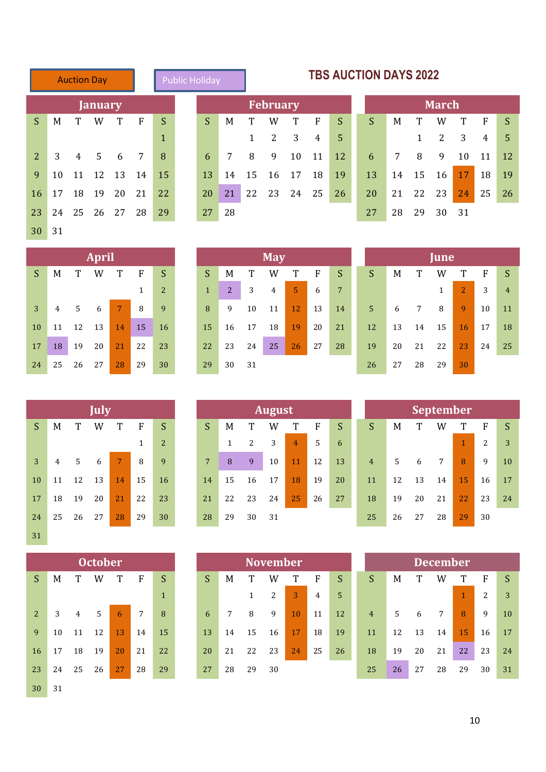|    |    | <b>Auction Day</b> |       |             |             | <b>Public Holiday</b> |    |
|----|----|--------------------|-------|-------------|-------------|-----------------------|----|
|    |    | <b>January</b>     |       |             |             |                       |    |
| S  | M  | T                  | W     | T           | $\mathbf F$ | S                     | S  |
|    |    |                    |       |             |             | $\mathbf{1}$          |    |
| 2  | 3  |                    | 4 5 6 |             | 7           | 8                     | 6  |
| 9  | 10 | 11                 | 12 13 |             | 14          | 15                    | 13 |
| 16 | 17 | 18                 | 19 20 |             | 21          | 22                    | 20 |
| 23 | 24 |                    |       | 25 26 27 28 |             | 29                    | 27 |
| 30 | 31 |                    |       |             |             |                       |    |

<span id="page-10-0"></span>

| blic Holiday |   |   |                 |  |
|--------------|---|---|-----------------|--|
|              |   |   | <b>February</b> |  |
|              | м | т | W               |  |

| S. |  |  | M T W T F S          |     | $S_{\rm c}$ |     | M T W T F                   |  | $\mathsf{S}$     | S M T W T F S        |  |             |                     |  |
|----|--|--|----------------------|-----|-------------|-----|-----------------------------|--|------------------|----------------------|--|-------------|---------------------|--|
|    |  |  |                      |     |             |     | $1 \quad 2 \quad 3 \quad 4$ |  | - 5 -            |                      |  |             | $1 \t2 \t3 \t4 \t5$ |  |
|    |  |  | $2$ 3 4 5 6 7        | - 8 |             |     |                             |  | 6 7 8 9 10 11 12 | 6 7 8 9 10 11 12     |  |             |                     |  |
|    |  |  | 9 10 11 12 13 14 15  |     |             |     | 13 14 15 16 17 18           |  | 19               | 13 14 15 16 17 18 19 |  |             |                     |  |
|    |  |  | 16 17 18 19 20 21 22 |     |             |     | 20 21 22 23 24 25           |  | <b>26</b>        | 20 21 22 23 24 25 26 |  |             |                     |  |
|    |  |  | 23 24 25 26 27 28    | 29  | 27          | -28 |                             |  |                  | 27                   |  | 28 29 30 31 |                     |  |

| <b>TBS AUCTION DAYS 2022</b> |
|------------------------------|
| March                        |

|    | <b>March</b> |       |    |               |    |    |  |  |  |  |  |  |
|----|--------------|-------|----|---------------|----|----|--|--|--|--|--|--|
| S  | M            | T     | W  | Т             | F  | S  |  |  |  |  |  |  |
|    |              | 1     | -2 | 3             | 4  | 5  |  |  |  |  |  |  |
| 6  | 7            | 8     | 9  | 10            | 11 | 12 |  |  |  |  |  |  |
| 13 | 14           | 15    | 16 | <sup>17</sup> | 18 | 19 |  |  |  |  |  |  |
| 20 | 21           | 22 23 |    | 24            | 25 | 26 |  |  |  |  |  |  |
| 27 | 28           | 29    | 30 | 31            |    |    |  |  |  |  |  |  |

| <b>April</b> |                |    |    |    |    |                |  |  |  |  |  |  |
|--------------|----------------|----|----|----|----|----------------|--|--|--|--|--|--|
| S            | М              | T  | W  | T  | F  | S              |  |  |  |  |  |  |
|              |                |    |    |    | 1  | $\overline{2}$ |  |  |  |  |  |  |
| 3            | $\overline{4}$ | .5 | 6  | 7  | 8  | 9              |  |  |  |  |  |  |
| 10           | 11             | 12 | 13 | 14 | 15 | 16             |  |  |  |  |  |  |
| 17           | 18             | 19 | 20 | 21 | 22 | 23             |  |  |  |  |  |  |
| 24           | 25             | 26 | 27 | 28 | 29 | 30             |  |  |  |  |  |  |

|              |    |             | <b>April</b> |             |    |    |    |    |    | <b>May</b> |    |    |    |   |                |    |    | June |          |
|--------------|----|-------------|--------------|-------------|----|----|----|----|----|------------|----|----|----|---|----------------|----|----|------|----------|
| <sub>S</sub> | M  | Т           | W            | T           | F  | S  | S  | M  |    | W          | T  | F  | S  | S |                | M  | T  | W    | T        |
|              |    |             |              |             |    | 2  | 1  | 2  | 3  | 4          | 5  | 6  | 7  |   |                |    |    | 1    | 2        |
| 3            | 4  | $5^{\circ}$ | 6            | $7^{\circ}$ | 8  | 9  | 8  | 9  | 10 | 11         | 12 | 13 | 14 |   | 5 <sup>5</sup> | 6  | 7  | 8    | <b>g</b> |
| 10           | 11 | 12          | 13           | 14          | 15 | 16 | 15 | 16 | 17 | 18         | 19 | 20 | 21 |   | 12             | 13 | 14 | 15   | 16       |
| 17           | 18 | 19          | 20           | 21          | 22 | 23 | 22 | 23 | 24 | 25         | 26 | 27 | 28 |   | 19             | 20 | 21 | 22   | 23       |
| 24           | 25 | 26          | 27           | 28          | 29 | 30 | 29 | 30 | 31 |            |    |    |    |   | 26             | 27 | 28 | 29   | 30       |

|                |    |    | <b>April</b> |    |    |    |    |    |    | <b>May</b> |    |    |    |                |    |    | June |                |    |                |
|----------------|----|----|--------------|----|----|----|----|----|----|------------|----|----|----|----------------|----|----|------|----------------|----|----------------|
| S.             | M  |    | W            |    | F  | S. | S  | M  | T  | W          | T  | F  | S  | S              | M  |    | W    |                | F  | S              |
|                |    |    |              |    |    | 2  | 1  | 2  | 3  | 4          | 5  | 6  | 7  |                |    |    |      | $\overline{2}$ | 3  | $\overline{4}$ |
| $\overline{3}$ | 4  | 5  | 6            | 7  | 8  | 9  | 8  | 9  | 10 | 11         | 12 | 13 | 14 | $5\phantom{1}$ | 6  | 7  | 8    | 9              | 10 | 11             |
| 10             | 11 | 12 | 13           | 14 | 15 | 16 | 15 | 16 | 17 | 18         | 19 | 20 | 21 | 12             | 13 | 14 | 15   | 16             | 17 | 18             |
| 17             | 18 | 19 | 20           | 21 | 22 | 23 | 22 | 23 | 24 | 25         | 26 | 27 | 28 | 19             | 20 | 21 | 22   | 23             | 24 | 25             |
| 24             | 25 | 26 | 27           | 28 | 29 | 30 | 29 | 30 | 31 |            |    |    |    | 26             | 27 | 28 | 29   | 30             |    |                |

|              |    |    | <b>July</b> |    |              |                |                |    |    | <b>August</b> |                |    |    |                |    |    | <b>September</b> |    |             |
|--------------|----|----|-------------|----|--------------|----------------|----------------|----|----|---------------|----------------|----|----|----------------|----|----|------------------|----|-------------|
| <sub>S</sub> | M  | T  | W           | T  | $\mathbf{F}$ | S              | <sub>S</sub>   | M  | T  | W             | T              | F  | S  | S              | M  | T  | W                | T  | $\mathbf F$ |
|              |    |    |             |    | 1            | 2 <sup>1</sup> |                | 1  | 2  | 3             | $\overline{4}$ | 5  | 6  |                |    |    |                  |    | 2           |
| 3            | 4  | 5  | 6           | 7  | 8            | 9              | $\overline{7}$ | 8  | 9  | 10            | 11             | 12 | 13 | $\overline{4}$ | 5  | 6  | $7\overline{ }$  | 8  | 9           |
| 10           | 11 | 12 | 13          | 14 | 15           | 16             | 14             | 15 | 16 | 17            | 18             | 19 | 20 | 11             | 12 | 13 | 14               | 15 | 16          |
| 17           | 18 | 19 | 20          | 21 | 22           | 23             | 21             | 22 | 23 | 24            | 25             | 26 | 27 | 18             | 19 | 20 | 21               | 22 | 23          |
| 24           | 25 | 26 | 27          | 28 | 29           | 30             | 28             | 29 | 30 | 31            |                |    |    | 25             | 26 | 27 | 28               | 29 | 30          |
| 31           |    |    |             |    |              |                |                |    |    |               |                |    |    |                |    |    |                  |    |             |

|                |    |                | <b>October</b> |    |    |              |
|----------------|----|----------------|----------------|----|----|--------------|
| S              | M  | T              | W              | T  | F  | S            |
|                |    |                |                |    |    | $\mathbf{1}$ |
| $\overline{2}$ | 3  | $\overline{4}$ | 5              | 6  | 7  | 8            |
| 9              | 10 | 11             | 12             | 13 | 14 | 15           |
| 16             | 17 | 18             | 19             | 20 | 21 | 22           |
| 23             | 24 | 25             | 26             | 27 | 28 | 29           |
| 30             | 31 |                |                |    |    |              |

| July |                 |    |                |                |    |    | <b>August</b> |    |    |    |                |    |    | <b>September</b> |    |    |                |
|------|-----------------|----|----------------|----------------|----|----|---------------|----|----|----|----------------|----|----|------------------|----|----|----------------|
| W    |                 | F  | S              | S              | M  |    | W             | т  | F  | S  | S              | M  |    | W                |    | F  | S              |
|      |                 |    | $\overline{2}$ |                |    | 2  | 3             | 4  | 5  | 6  |                |    |    |                  | 1  | 2  | 3              |
| 6    | 7               | 8  | 9              | $7\phantom{.}$ | 8  | 9  | 10            | 11 | 12 | 13 | $\overline{4}$ | 5  | 6  | 7                | 8  | 9  | $\mathbf{1}$   |
| 13   | $\overline{14}$ | 15 | 16             | 14             | 15 | 16 | 17            | 18 | 19 | 20 | 11             | 12 | 13 | 14               | 15 | 16 | $1^{\circ}$    |
| 20   | 21              | 22 | 23             | 21             | 22 | 23 | 24            | 25 | 26 | 27 | 18             | 19 | 20 | 21               | 22 | 23 | 2 <sup>1</sup> |
| 27   | 28              | 29 | 30             | 28             | 29 | 30 | 31            |    |    |    | 25             | 26 | 27 | 28               | 29 | 30 |                |

|                 |    |    | <b>October</b> |    |    |              |    |    |    | <b>November</b> |              |    |    |                |    |    | December |    |    |                |
|-----------------|----|----|----------------|----|----|--------------|----|----|----|-----------------|--------------|----|----|----------------|----|----|----------|----|----|----------------|
| $\overline{S}$  | M  |    | W              | Т  | F  | S            | S  | M  |    | W               |              | F  | S  | S              | M  |    | W        | T  | F  | S              |
|                 |    |    |                |    |    | $\mathbf{1}$ |    |    |    | 2               | $\mathbf{3}$ | 4  | 5. |                |    |    |          |    | n  | 3              |
| $\overline{2}$  | 3  | 4  |                | 6  | 7  | 8            | 6  |    | 8  | 9               | 10           | 11 | 12 | $\overline{4}$ | 5  | 6  | 7        | 8  | 9  | 1 <sub>1</sub> |
| 9               | 10 |    | 12             | 13 | 14 | 15           | 13 | 14 | 15 | 16              | 17           | 18 | 19 | 11             | 12 | 13 | 14       | 15 | 16 | $\mathbf{1}$   |
| $16 \,$         | 17 | 18 | 19             | 20 | 21 | 22           | 20 | 21 | 22 | 23              | 24           | 25 | 26 | 18             | 19 | 20 | 21       | 22 | 23 | $2^{i}$        |
| 23 <sup>2</sup> | 24 | 25 | 26             | 27 | 28 | 29           | 27 | 28 | 29 | 30              |              |    |    | 25             | 26 | 27 | 28       | 29 | 30 | 3 <sup>2</sup> |

|                |    |    | July |    |    |    |    |    |    | <b>August</b> |                |    |    |                |    |    | <b>September</b> |    |    |    |
|----------------|----|----|------|----|----|----|----|----|----|---------------|----------------|----|----|----------------|----|----|------------------|----|----|----|
| S              | M  |    | W    |    | F  | S  | S  | M  |    | W             | T              | F  | S  | S              | M  | ጥ  | W                | Ͳ  | F  |    |
|                |    |    |      |    |    | 2  |    |    | 2  | 3             | $\overline{4}$ | 5  | 6  |                |    |    |                  |    | 2  | 3  |
| $\overline{3}$ | 4  | 5  | 6    |    | 8  | 9  | 7  | 8  | 9  | 10            | 11             | 12 | 13 | $\overline{4}$ | 5  | 6  | 7                | 8  | 9  | 10 |
| 10             | 11 | 12 | 13   | 14 | 15 | 16 | 14 | 15 | 16 | 17            | 18             | 19 | 20 | 11             | 12 | 13 | 14               | 15 | 16 | 17 |
| 17             | 18 | 19 | 20   | 21 | 22 | 23 | 21 | 22 | 23 | 24            | 25             | 26 | 27 | 18             | 19 | 20 | 21               | 22 | 23 | 24 |
| 24             | 25 | 26 | 27   | 28 | 29 | 30 | 28 | 29 | 30 | 31            |                |    |    | 25             | 26 | 27 | 28               | 29 | 30 |    |

|    |    |    | <b>October</b> |    |    |              |    |    |    | November <sup>1</sup> |    |    |    |                |    |    | December |    |    |    |
|----|----|----|----------------|----|----|--------------|----|----|----|-----------------------|----|----|----|----------------|----|----|----------|----|----|----|
| S  | M  |    | W              |    | F  | S            | S  | M  |    | W                     | T  | F  | S  | S              | M  |    | W        |    | F  |    |
|    |    |    |                |    |    | $\mathbf{1}$ |    |    |    | ົາ                    | 3  | 4  | 5  |                |    |    |          |    | 2  | 3  |
| 2  |    | 4  | 5              | 6  | 7  | 8            | 6  |    | 8  | 9                     | 10 | 11 | 12 | $\overline{4}$ | 5  | 6  | 7        | 8  | 9  | 10 |
| 9  | 10 | 11 | 12             | 13 | 14 | 15           | 13 | 14 | 15 | 16                    | 17 | 18 | 19 | 11             | 12 | 13 | 14       | 15 | 16 | 17 |
| 16 | 17 | 18 | 19             | 20 | 21 | 22           | 20 | 21 | 22 | 23                    | 24 | 25 | 26 | 18             | 19 | 20 | 21       | 22 | 23 | 24 |
| 23 | 24 | 25 | 26             | 27 | 28 | 29           | 27 | 28 | 29 | 30                    |    |    |    | 25             | 26 | 27 | 28       | 29 | 30 | 31 |